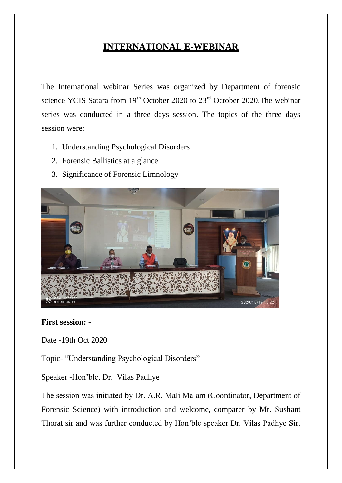# **INTERNATIONAL E-WEBINAR**

The International webinar Series was organized by Department of forensic science YCIS Satara from  $19<sup>th</sup>$  October 2020 to  $23<sup>rd</sup>$  October 2020. The webinar series was conducted in a three days session. The topics of the three days session were:

- 1. Understanding Psychological Disorders
- 2. Forensic Ballistics at a glance
- 3. Significance of Forensic Limnology



#### **First session: -**

Date -19th Oct 2020

Topic- "Understanding Psychological Disorders"

Speaker -Hon'ble. Dr. Vilas Padhye

The session was initiated by Dr. A.R. Mali Ma'am (Coordinator, Department of Forensic Science) with introduction and welcome, comparer by Mr. Sushant Thorat sir and was further conducted by Hon'ble speaker Dr. Vilas Padhye Sir.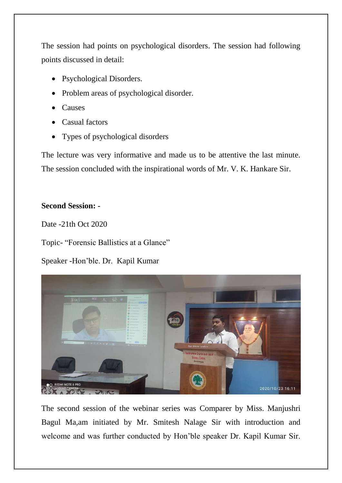The session had points on psychological disorders. The session had following points discussed in detail:

- Psychological Disorders.
- Problem areas of psychological disorder.
- Causes
- Casual factors
- Types of psychological disorders

The lecture was very informative and made us to be attentive the last minute. The session concluded with the inspirational words of Mr. V. K. Hankare Sir.

## **Second Session: -**

Date -21th Oct 2020

Topic- "Forensic Ballistics at a Glance"

Speaker -Hon'ble. Dr. Kapil Kumar



The second session of the webinar series was Comparer by Miss. Manjushri Bagul Ma,am initiated by Mr. Smitesh Nalage Sir with introduction and welcome and was further conducted by Hon'ble speaker Dr. Kapil Kumar Sir.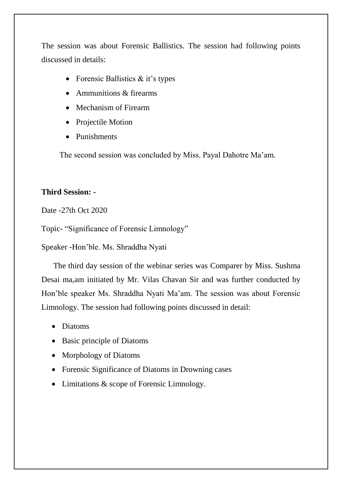The session was about Forensic Ballistics. The session had following points discussed in details:

- Forensic Ballistics  $&$  it's types
- Ammunitions  $&$  firearms
- Mechanism of Firearm
- Projectile Motion
- Punishments

The second session was concluded by Miss. Payal Dahotre Ma'am.

#### **Third Session: -**

Date -27th Oct 2020

Topic- "Significance of Forensic Limnology"

Speaker -Hon'ble. Ms. Shraddha Nyati

 The third day session of the webinar series was Comparer by Miss. Sushma Desai ma,am initiated by Mr. Vilas Chavan Sir and was further conducted by Hon'ble speaker Ms. Shraddha Nyati Ma'am. The session was about Forensic Limnology. The session had following points discussed in detail:

- Diatoms
- Basic principle of Diatoms
- Morphology of Diatoms
- Forensic Significance of Diatoms in Drowning cases
- Limitations & scope of Forensic Limnology.